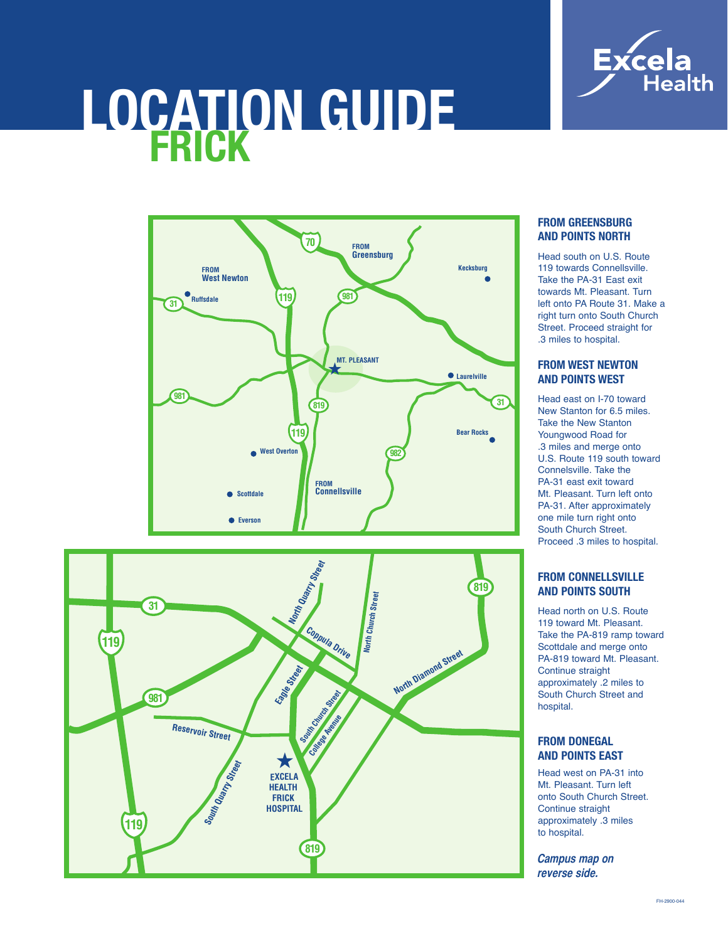

# **LOCATION GUIDE**





## **FROM GREENSBURG AND POINTS NORTH**

Head south on U.S. Route 119 towards Connellsville Take the PA-31 East exit towards Mt. Pleasant. Turn left onto PA Route 31. Make a right turn onto South Church Street. Proceed straight for .3 miles to hospital.

## **FROM WEST NEWTON AND POINTS WEST**

Head east on I-70 toward New Stanton for 6.5 miles. Take the New Stanton Youngwood Road for .3 miles and merge onto U.S. Route 119 south toward Connelsville. Take the PA-31 east exit toward Mt. Pleasant. Turn left onto PA-31. After approximately one mile turn right onto South Church Street. Proceed .3 miles to hospital.

# **FROM CONNELLSVILLE AND POINTS SOUTH**

Head north on U.S. Route 119 toward Mt. Pleasant. Take the PA-819 ramp toward Scottdale and merge onto PA-819 toward Mt. Pleasant. Continue straight approximately .2 miles to South Church Street and hospital.

### **FROM DONEGAL AND POINTS EAST**

Head west on PA-31 into Mt. Pleasant. Turn left onto South Church Street. Continue straight approximately .3 miles to hospital.

**Campus map on** reverse side.